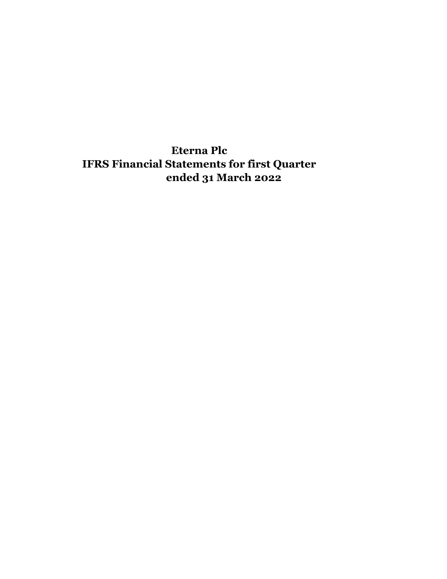**Eterna Plc IFRS Financial Statements for first Quarter ended 31 March 2022**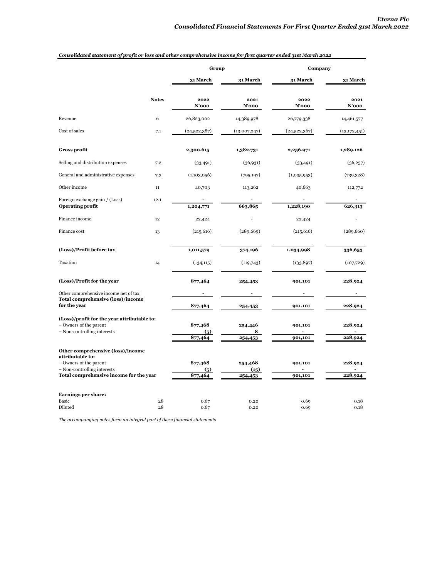|                                             | Group                             |                  | Company       |                 |  |
|---------------------------------------------|-----------------------------------|------------------|---------------|-----------------|--|
|                                             | 31 March                          | 31 March         | 31 March      | <b>31 March</b> |  |
| <b>Notes</b>                                | 2022<br>$N'$ 000                  | 2021<br>$N'$ 000 | 2022<br>N'ooo | 2021<br>N'ooo   |  |
| 6                                           | 26,823,002                        | 14,389,978       | 26,779,338    | 14,461,577      |  |
| 7.1                                         | (24,522,387)                      | (13,007,247)     | (24,522,367)  | (13, 172, 451)  |  |
|                                             | 2,300,615                         | 1,382,731        | 2,256,971     | 1,289,126       |  |
| 7.2                                         | (33, 491)                         | (36,931)         | (33, 491)     | (36,257)        |  |
| 7.3                                         | (1,103,056)                       | (795, 197)       | (1,035,953)   | (739,328)       |  |
| 11                                          | 40,703                            | 113,262          | 40,663        | 112,772         |  |
| 12.1                                        | 1,204,771                         | 663,865          | 1,228,190     | 626,313         |  |
| 12                                          | 22,424                            |                  | 22,424        |                 |  |
| 13                                          | (215, 616)                        | (289, 669)       | (215, 616)    | (289, 660)      |  |
|                                             | 1,011,579                         | 374,196          | 1,034,998     | 336,653         |  |
| 14                                          | (134, 115)                        | (119,743)        | (133, 897)    | (107,729)       |  |
|                                             | 877,464                           | 254,453          | 901,101       | 228,924         |  |
|                                             |                                   |                  |               |                 |  |
|                                             | 877,464                           | 254,453          | 901,101       | 228,924         |  |
| (Loss)/profit for the year attributable to: | 877,468                           | 254,446          | 901,101       | 228,924         |  |
|                                             | 877,464                           | 254,453          | 901,101       | 228,924         |  |
| Other comprehensive (loss)/income           |                                   |                  |               |                 |  |
|                                             | (5)                               | (15)             |               | 228,924         |  |
| Total comprehensive income for the year     | 877,464                           | 254,453          | 901,101       | 228,924         |  |
|                                             |                                   |                  |               |                 |  |
| 28<br>28                                    | 0.67<br>0.67                      | 0.20<br>0.20     | 0.69<br>0.69  | 0.18<br>0.18    |  |
|                                             | Total comprehensive (loss)/income | (5)<br>877,468   | 8<br>254,468  | 901,101         |  |

# *Consolidated statement of profit or loss and other comprehensive income for first quarter ended 31st March 2022*

*The accompanying notes form an integral part of these financial statements*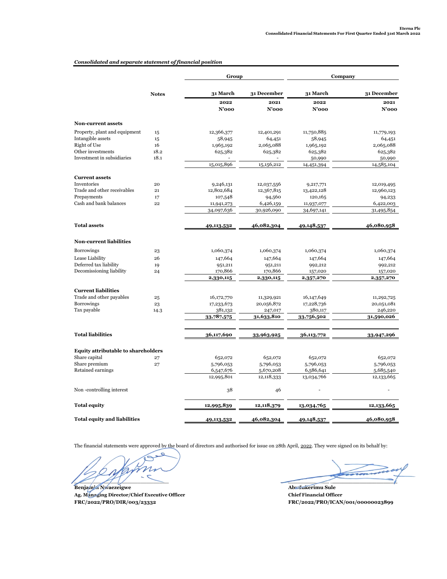# *Consolidated and separate statement of financial position*

|                                            |              | Group                   |                         | Company                 |                         |
|--------------------------------------------|--------------|-------------------------|-------------------------|-------------------------|-------------------------|
|                                            | <b>Notes</b> | 31 March                | 31 December             | 31 March                | 31 December             |
|                                            |              | 2022                    | 2021                    | 2022                    | 2021                    |
|                                            |              | N'ooo                   | $N'$ 000                | $N'$ 000                | $N'$ 000                |
| Non-current assets                         |              |                         |                         |                         |                         |
| Property, plant and equipment              | 15           | 12,366,377              | 12,401,291              | 11,750,885              | 11,779,193              |
| Intangible assets                          | 15           | 58,945                  | 64,451                  | 58,945                  | 64,451                  |
| Right of Use                               | 16           | 1,965,192               | 2,065,088               | 1,965,192               | 2,065,088               |
| Other investments                          | 18.2         | 625,382                 | 625,382                 | 625,382                 | 625,382                 |
| Investment in subsidiaries                 | 18.1         |                         |                         | 50,990                  | 50,990                  |
|                                            |              | 15,015,896              | 15,156,212              | 14,451,394              | 14,585,104              |
| <b>Current assets</b>                      |              |                         |                         |                         |                         |
| Inventories                                | 20           | 9,246,131               | 12,037,556              | 9,217,771               | 12,019,495              |
| Trade and other receivables                | 21           | 12,802,684              | 12,367,815              | 13,422,128              | 12,960,123              |
| Prepayments                                | 17           | 107,548                 | 94,560                  | 120,165                 | 94,233                  |
| Cash and bank balances                     | 22           | 11,941,273              | 6,426,159               | 11,937,077              | 6,422,003               |
|                                            |              | 34,097,636              | 30,926,090              | 34,697,141              | 31,495,854              |
| <b>Total assets</b>                        |              | 49,113,532              | 46,082,304              | 49,148,537              | 46,080,958              |
|                                            |              |                         |                         |                         |                         |
| <b>Non-current liabilities</b>             |              |                         |                         |                         |                         |
| <b>Borrowings</b>                          | 23           | 1,060,374               | 1,060,374               | 1,060,374               | 1,060,374               |
| Lease Liability                            | 26           | 147,664                 | 147,664                 | 147,664                 | 147,664                 |
| Deferred tax liability                     | 19           | 951,211                 | 951,211                 | 992,212                 | 992,212                 |
| Decomissioning liability                   | 24           | 170,866                 | 170,866                 | 157,020                 | 157,020                 |
|                                            |              | 2,330,115               | 2,330,115               | 2,357,270               | 2,357,270               |
| <b>Current liabilities</b>                 |              |                         |                         |                         |                         |
| Trade and other payables                   | 25           | 16,172,770              | 11,329,921              | 16,147,649              | 11,292,725              |
| <b>Borrowings</b>                          | 23           | 17,233,673              | 20,056,872              | 17,228,736              | 20,051,081              |
| Tax payable                                | 14.3         | 381,132                 | 247,017                 | 380,117                 | 246,220                 |
|                                            |              | 33,787,575              | 31,633,810              | 33,756,502              | 31,590,026              |
| <b>Total liabilities</b>                   |              | 36,117,690              | 33,963,925              | 36,113,772              | 33,947,296              |
|                                            |              |                         |                         |                         |                         |
| <b>Equity attributable to shareholders</b> |              |                         |                         |                         |                         |
| Share capital                              | 27           | 652,072                 | 652,072                 | 652,072                 | 652,072                 |
| Share premium                              | 27           | 5,796,053               | 5,796,053               | 5,796,053               | 5,796,053               |
| Retained earnings                          |              | 6,547,676<br>12,995,801 | 5,670,208<br>12,118,333 | 6,586,641<br>13,034,766 | 5,685,540<br>12,133,665 |
|                                            |              |                         |                         |                         |                         |
| Non-controlling interest                   |              | 38                      | 46                      |                         |                         |
| <b>Total equity</b>                        |              | 12,995,839              | 12,118,379              | 13,034,765              | 12,133,665              |
| <b>Total equity and liabilities</b>        |              | 49,113,532              | 46,082,304              | 49,148,537              | 46,080,958              |

The financial statements were approved by the board of directors and authorised for issue on 28th April, 2022. They were signed on its behalf by:

C  $\mathcal{V}$ C  $\frac{1}{2}$  ,  $\frac{1}{2}$  ,  $\frac{1}{2}$  ,  $\frac{1}{2}$  ,  $\frac{1}{2}$  ,  $\frac{1}{2}$  ,  $\frac{1}{2}$  ,  $\frac{1}{2}$  ,  $\frac{1}{2}$  ,  $\frac{1}{2}$  ,  $\frac{1}{2}$  ,  $\frac{1}{2}$  ,  $\frac{1}{2}$  ,  $\frac{1}{2}$  ,  $\frac{1}{2}$  ,  $\frac{1}{2}$  ,  $\frac{1}{2}$  ,  $\frac{1}{2}$  ,  $\frac{1$ 

**FRC/2022/PRO/DIR/003/23332 Benjamin Nwaezeigwe Ag. Managing Director/Chief Executive Officer**

**Abudukerimu Sule Chief Financial Officer FRC/2022/PRO/ICAN/001/00000023899**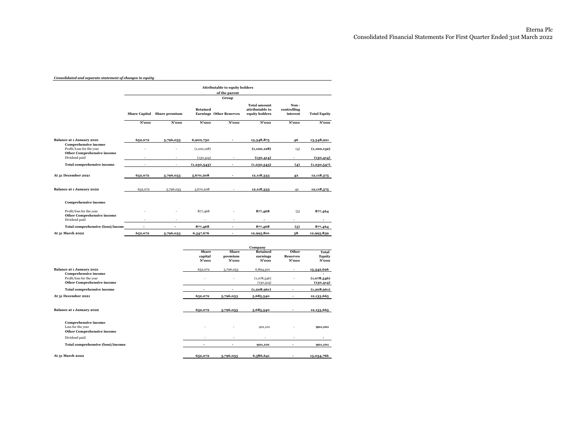#### *Consolidated and separate statement of changes in equity*

|                                                                                              | <b>Attributable to equity holders</b><br>of the parent<br>Group |                             |                  |                                |                                                          |                                 |                           |
|----------------------------------------------------------------------------------------------|-----------------------------------------------------------------|-----------------------------|------------------|--------------------------------|----------------------------------------------------------|---------------------------------|---------------------------|
|                                                                                              |                                                                 | Share Capital Share premium | <b>Retained</b>  | <b>Earnings</b> Other Reserves | <b>Total amount</b><br>attributable to<br>equity holders | Non-<br>controlling<br>interest | <b>Total Equity</b>       |
|                                                                                              | N'ooo                                                           | $N'$ 000                    | N'ooo            | N'ooo                          | N'ooo                                                    | N'ooo                           | N'ooo                     |
| Balance at 1 January 2021                                                                    | 652,072                                                         | 5,796,053                   | 6,900,750        |                                | 13,348,875                                               | 46                              | 13,348,921                |
| <b>Comprehensive income</b><br>Profit/Loss for the year                                      |                                                                 |                             | (1,100,128)      |                                | (1,100,128)                                              | (4)                             | (1,100,132)               |
| <b>Other Comprehensive income</b><br>Dividend paid                                           |                                                                 | ٠                           | (130, 414)       |                                | (130, 414)                                               |                                 | (130, 414)                |
| <b>Total comprehensive income</b>                                                            |                                                                 | ä,                          | (1,230,543)      |                                | (1,230,543)                                              | (4)                             | (1,230,547)               |
| At 31 December 2021                                                                          | 652,072                                                         | 5,796,053                   | 5,670,208        |                                | 12,118,333                                               | 42                              | 12,118,375                |
| Balance at 1 January 2022                                                                    | 652,072                                                         | 5,796,053                   | 5,670,208        |                                | 12,118,333                                               | 42                              | 12,118,375                |
| <b>Comprehensive income</b>                                                                  |                                                                 |                             |                  |                                |                                                          |                                 |                           |
| Profit/loss for the year<br><b>Other Comprehensive income</b>                                |                                                                 |                             | 877,468          |                                | 877,468                                                  | (5)                             | 877,464                   |
| Dividend paid                                                                                |                                                                 |                             |                  |                                |                                                          |                                 |                           |
| <b>Total comprehensive (loss)/incom</b>                                                      |                                                                 |                             | 877,468          | ٠                              | 877,468                                                  | (5)                             | 877,464                   |
| At 31 March 2022                                                                             | 652,072                                                         | 5,796,053                   | 6,547,676        | ٠                              | 12,995,801                                               | 38                              | 12,995,839                |
|                                                                                              |                                                                 |                             |                  |                                | Company                                                  |                                 |                           |
|                                                                                              |                                                                 |                             | Share            | Share                          | <b>Retained</b>                                          | Other                           | Total                     |
|                                                                                              |                                                                 |                             | capital<br>N'ooo | premium<br>N'ooo               | earnings<br>N'ooo                                        | <b>Reserves</b><br>$N'$ 000     | Equity<br>$N'$ 000        |
|                                                                                              |                                                                 |                             |                  |                                |                                                          |                                 |                           |
| Balance at 1 January 2021                                                                    |                                                                 |                             | 652,072          | 5,796,053                      | 6,894,501                                                |                                 | 13,342,626                |
| <b>Comprehensive income</b><br>Profit/loss for the year<br><b>Other Comprehensive income</b> |                                                                 |                             |                  |                                | (1,078,546)<br>(130, 414)                                |                                 | (1,078,546)<br>(130, 414) |

| <b>Total comprehensive income</b>                                              | ٠                        | $\overline{\phantom{a}}$ | (1,208,961) | (1,208,961) |
|--------------------------------------------------------------------------------|--------------------------|--------------------------|-------------|-------------|
| At 31 December 2021                                                            | 652,072                  | 5,796,053                | 5,685,540   | 12,133,665  |
| Balance at 1 January 2022                                                      | 652,072                  | 5,796,053                | 5,685,540   | 12,133,665  |
| <b>Comprehensive income</b><br>Loss for the year<br>Other Comprehensive income | $\overline{\phantom{a}}$ | $\overline{\phantom{a}}$ | 901,101     | 901,101     |
| Dividend paid                                                                  | ۰                        | ۰                        | ۰           |             |
| Total comprehensive (loss)/income                                              |                          |                          | 901,101     | 901,101     |
| At 31 March 2022                                                               | 652,072                  | 5,796,053                | 6,586,641   | 13,034,766  |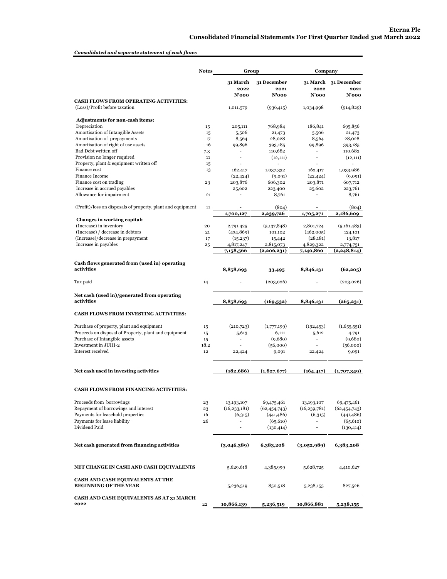# *Consolidated and separate statement of cash flows*

|                                                                  | <b>Notes</b> | Group                    |                     | Company                  |                              |  |
|------------------------------------------------------------------|--------------|--------------------------|---------------------|--------------------------|------------------------------|--|
|                                                                  |              | <b>31 March</b><br>2022  | 31 December<br>2021 | 2022                     | 31 March 31 December<br>2021 |  |
| <b>CASH FLOWS FROM OPERATING ACTIVITIES:</b>                     |              | N'ooo                    | N'ooo               | N'ooo                    | $N'$ 000                     |  |
| (Loss)/Profit before taxation                                    |              | 1,011,579                | (936, 415)          | 1,034,998                | (914, 829)                   |  |
| Adjustments for non-cash items:                                  |              |                          |                     |                          |                              |  |
| Depreciation<br>Amortisation of Intangible Assets                | 15<br>15     | 205,111<br>5,506         | 768,984<br>21,473   | 186,841<br>5,506         | 695,856<br>21,473            |  |
| Amortisation of prepayments                                      | 17           | 8,564                    | 28,028              | 8,564                    | 28,028                       |  |
| Amortisation of right of use assets                              | 16           | 99,896                   | 393,185             | 99,896                   | 393,185                      |  |
| Bad Debt written off                                             | 7.3          | $\overline{\phantom{a}}$ | 110,682             | $\blacksquare$           | 110,682                      |  |
| Provision no longer required                                     | 11           | $\overline{\phantom{a}}$ | (12, 111)           | $\overline{\phantom{a}}$ | (12, 111)                    |  |
| Property, plant & equipment written off                          | 15           |                          | $\sim$              |                          |                              |  |
| Finance cost<br>Finance Income                                   | 13           | 162,417                  | 1,037,332           | 162,417                  | 1,033,986                    |  |
| Finance cost on trading                                          | 23           | (22, 424)<br>203,876     | (9,091)<br>606,302  | (22, 424)<br>203,871     | (9,091)<br>607,712           |  |
| Increase in accrued payables                                     |              | 25,602                   | 223,400             | 25,602                   | 223,761                      |  |
| Allowance for impairment                                         | 21           |                          | 8,761               |                          | 8,761                        |  |
|                                                                  |              |                          |                     |                          |                              |  |
| (Profit)/loss on disposals of property, plant and equipment      | 11           | 1,700,127                | (804)<br>2,239,726  |                          | (804)<br>2,186,609           |  |
| Changes in working capital:                                      |              |                          |                     | 1,705,271                |                              |  |
| (Increase) in inventory                                          | 20           | 2,791,425                | (5,137,848)         | 2,801,724                | (5,161,483)                  |  |
| (Increase) / decrease in debtors                                 | 21           | (434, 869)               | 101,102             | (462,005)                | 124,101                      |  |
| (Increase)/decrease in prepayment                                | 17           | (15, 237)                | 15,442              | (28, 181)                | 13,817                       |  |
| Increase in payables                                             | 25           | 4,817,247                | 2,815,073           | 4,829,322                | 2,774,751                    |  |
|                                                                  |              | 7,158,566                | (2,206,231)         | 7,140,860                | (2,248,814)                  |  |
| Cash flows generated from (used in) operating                    |              |                          |                     |                          |                              |  |
| activities                                                       |              | 8,858,693                | 33,495              | 8,846,131                | (62, 205)                    |  |
| Tax paid                                                         | 14           |                          | (203,026)           |                          | (203, 026)                   |  |
| Net cash (used in)/generated from operating<br>activities        |              | 8,858,693                | (169, 532)          | 8,846,131                | (265, 231)                   |  |
| <b>CASH FLOWS FROM INVESTING ACTIVITIES:</b>                     |              |                          |                     |                          |                              |  |
| Purchase of property, plant and equipment                        |              | (210, 723)               | (1,777,199)         | (192, 453)               | (1,655,551)                  |  |
| Proceeds on disposal of Property, plant and equipment            | 15<br>15     | 5,613                    | 6,111               | 5,612                    | 4,791                        |  |
| Purchase of Intangible assets                                    | 15           | $\overline{\phantom{m}}$ | (9,680)             |                          | (9,680)                      |  |
| Investment in JUHI-2                                             | 18.2         |                          | (56,000)            | L,                       | (56,000)                     |  |
| Interest received                                                | 12           | 22,424                   | 9,091               | 22,424                   | 9,091                        |  |
| Net cash used in investing activities                            |              | (182, 686)               | (1,827,677)         | (164, 417)               | (1,707,349)                  |  |
| <b>CASH FLOWS FROM FINANCING ACTIVITIES:</b>                     |              |                          |                     |                          |                              |  |
| Proceeds from borrowings                                         | 23           | 13,193,107               | 69,475,461          | 13,193,107               | 69,475,461                   |  |
| Repayment of borrowings and interest                             | 23           | (16, 233, 181)           | (62, 454, 743)      | (16, 239, 781)           | (62, 454, 743)               |  |
| Payments for leasehold properties                                | 16           | (6,315)                  | (441, 486)          | (6,315)                  | (441, 486)                   |  |
| Payments for lease liability                                     | 26           | $\blacksquare$           | (65, 610)           | $\blacksquare$           | (65, 610)                    |  |
| Dividend Paid                                                    |              | ÷,                       | (130, 414)          | $\blacksquare$           | (130, 414)                   |  |
| Net cash generated from financing activities                     |              | (3,046,389)              | 6,383,208           | (3.052.989)              | 6,383,208                    |  |
| NET CHANGE IN CASH AND CASH EQUIVALENTS                          |              | 5,629,618                | 4,385,999           | 5,628,725                | 4,410,627                    |  |
| CASH AND CASH EQUIVALENTS AT THE<br><b>BEGINNING OF THE YEAR</b> |              | 5,236,519                | 850,518             | 5,238,155                | 827,526                      |  |
| CASH AND CASH EQUIVALENTS AS AT 31 MARCH<br>2022                 | 22           | 10,866,139               | 5,236,519           | 10,866,881               | 5,238,155                    |  |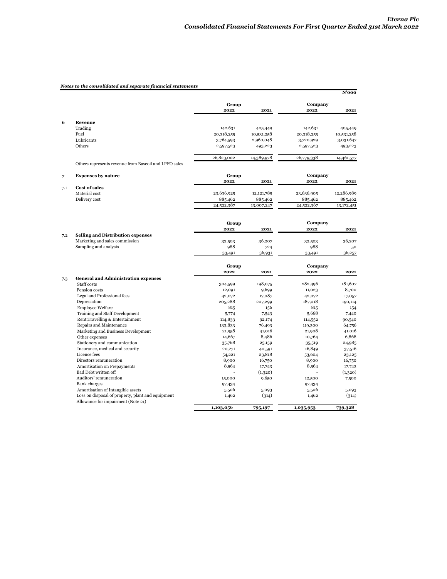# *Notes to the consolidated and separate financial statements*

|     |                                                       |                  |                 |                  | N'ooo           |
|-----|-------------------------------------------------------|------------------|-----------------|------------------|-----------------|
|     |                                                       | Group            |                 | Company          |                 |
|     |                                                       | 2022             | 2021            | 2022             | 2021            |
|     |                                                       |                  |                 |                  |                 |
| 6   | Revenue                                               |                  |                 |                  |                 |
|     | Trading                                               | 142,631          | 405,449         | 142,631          | 405,449         |
|     | Fuel                                                  | 20,318,255       | 10,531,258      | 20,318,255       | 10,531,258      |
|     | Lubricants                                            | 3,764,593        | 2,960,048       | 3,720,929        | 3,031,647       |
|     | Others                                                | 2,597,523        | 493,223         | 2,597,523        | 493,223         |
|     |                                                       | 26,823,002       | 14,389,978      | 26,779,338       | 14,461,577      |
|     | Others represents revenue from Baseoil and LPFO sales |                  |                 |                  |                 |
| 7   | <b>Expenses by nature</b>                             | Group            |                 | Company          |                 |
|     |                                                       | 2022             | 2021            | 2022             | 2021            |
| 7.1 | <b>Cost of sales</b>                                  |                  |                 |                  |                 |
|     | Material cost                                         | 23,636,925       | 12,121,785      | 23,636,905       | 12,286,989      |
|     | Delivery cost                                         | 885,462          | 885,462         | 885,462          | 885,462         |
|     |                                                       | 24,522,387       | 13,007,247      | 24,522,367       | 13,172,451      |
|     |                                                       |                  |                 |                  |                 |
|     |                                                       | Group            |                 | Company          |                 |
|     |                                                       | 2022             | 2021            | 2022             | 2021            |
| 7.2 | <b>Selling and Distribution expenses</b>              |                  |                 |                  |                 |
|     | Marketing and sales commission                        | 32,503           | 36,207          | 32,503           | 36,207          |
|     | Sampling and analysis                                 | 988              | 724             | 988              | 50              |
|     |                                                       | 33,491           | 36,931          | 33,491           | 36,257          |
|     |                                                       | Group            |                 | Company          |                 |
|     |                                                       | 2022             | 2021            | 2022             | 2021            |
| 7.3 | <b>General and Administration expenses</b>            |                  |                 |                  |                 |
|     | Staff costs                                           | 304,599          | 198,075         | 282,496          | 181,607         |
|     | Pension costs                                         | 12,091           | 9,699           | 11,023           | 8,700           |
|     | Legal and Professional fees                           | 42,072           | 17,087          | 42,072           | 17,057          |
|     | Depreciation                                          | 205,288          | 207,299         | 187,018          | 190,114         |
|     | <b>Employee Welfare</b>                               | 815              | 156             | 815              | 154             |
|     | Training and Staff Development                        | 5,774            | 7,543           | 5,668            | 7,440           |
|     | Rent, Travelling & Entertainment                      | 114,833          | 92,174          | 114,552          | 90,540          |
|     | Repairs and Maintenance                               | 133,833          | 76,493          | 119,300          | 64,756          |
|     | Marketing and Business Development<br>Other expenses  | 21,958<br>14,667 | 41,016<br>8,486 | 21,908<br>10,764 | 41,016<br>6,868 |
|     | Stationery and communication                          | 35,768           | 25,159          | 35,519           | 24,985          |
|     | Insurance, medical and security                       | 20,271           | 40,591          | 16,849           | 37,516          |
|     | Licence fees                                          | 54,221           | 23,818          | 53,604           | 23,125          |
|     | Directors remuneration                                | 8,900            | 16,750          | 8,900            | 16,750          |
|     | Amortisation on Prepayments                           | 8,564            | 17,743          | 8,564            | 17,743          |
|     | Bad Debt written off                                  |                  | (1,320)         |                  | (1,320)         |
|     | Auditors' remuneration                                | 15,000           | 9,650           | 12,500           | 7,500           |
|     | <b>Bank</b> charges                                   | 97,434           |                 | 97,434           |                 |
|     | Amortisation of Intangible assets                     | 5,506            | 5,093           | 5,506            | 5,093           |
|     | Loss on disposal of property, plant and equipment     | 1,462            | (314)           | 1,462            | (314)           |
|     | Allowance for impairment (Note 21)                    | 1,103,056        | 795,197         | 1,035,953        | 739,328         |
|     |                                                       |                  |                 |                  |                 |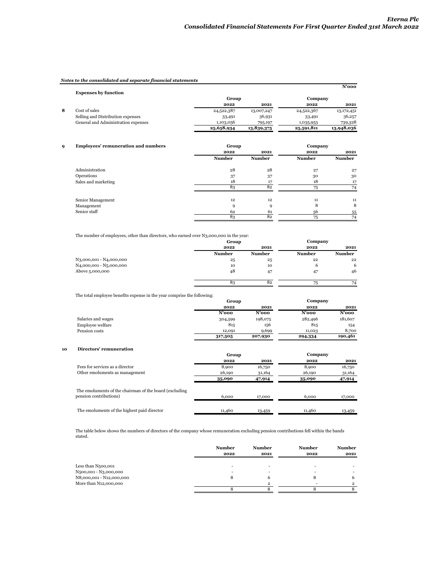**Group Company**

# *Notes to the consolidated and separate financial statements*

|   | <b>Expenses by function</b>         |            |            |            | $N'$ 000   |
|---|-------------------------------------|------------|------------|------------|------------|
|   |                                     | Group      |            | Company    |            |
|   |                                     | 2022       | 2021       | 2022       | 2021       |
| 8 | Cost of sales                       | 24,522,387 | 13,007,247 | 24,522,367 | 13,172,451 |
|   | Selling and Distribution expenses   | 33,491     | 36,931     | 33,491     | 36,257     |
|   | General and Administration expenses | 1,103,056  | 795,197    | 1,035,953  | 739,328    |
|   |                                     | 25,658,934 | 13,839,375 | 25,591,811 | 13,948,036 |

| <b>Employees' remuneration and numbers</b> | Group |
|--------------------------------------------|-------|
|--------------------------------------------|-------|

| $\sim$<br>. .       | . .           |               |               |               |
|---------------------|---------------|---------------|---------------|---------------|
|                     | 2022          | 2021          | 2022          | 2021          |
|                     | <b>Number</b> | <b>Number</b> | <b>Number</b> | <b>Number</b> |
| Administration      | 28            | 28            | 27            | 27            |
| Operations          | 37            | 37            | 30            | 30            |
| Sales and marketing | 18            | 17            | 18            | 17            |
|                     | 83            | 82            | 75            | 74            |
| Senior Management   | 12            | 12            | 11            | 11            |
| Management          | a             | Q             | 8             | 8             |
| Senior staff        | 62            | 61            | 56            | 55            |
|                     | 83            | 82            | 75            | 74            |

The number of employees, other than directors, who earned over N3,000,000 in the year:

|                                                   | Group         |               | Company       |               |
|---------------------------------------------------|---------------|---------------|---------------|---------------|
|                                                   | 2022          | 2021          | 2022          | 2021          |
|                                                   | <b>Number</b> | <b>Number</b> | <b>Number</b> | <b>Number</b> |
| N <sub>3</sub> ,000,001 - N <sub>4</sub> ,000,000 | 25            | 25            | 22            | 22            |
| N <sub>4</sub> ,000,001 - N <sub>5</sub> ,000,000 | 10            | 10            | 6             | 6             |
| Above 5,000,000                                   | 48            | 47            | 47            | 46            |
|                                                   | 83            | 82            | 75            | 74            |

The total employee benefits expense in the year comprise the following:

|                    | Group    |          |         | Company  |
|--------------------|----------|----------|---------|----------|
|                    | 2022     | 2021     | 2022    | 2021     |
|                    | $N'$ 000 | $N'$ 000 | N'ooo   | $N'$ 000 |
| Salaries and wages | 304,599  | 198,075  | 282,496 | 181,607  |
| Employee welfare   | 815      | 156      | 815     | 154      |
| Pension costs      | 12,091   | 9,699    | 11,023  | 8,700    |
|                    | 317,505  | 207,930  | 294,334 | 190,461  |

#### **10 Directors' remuneration**

|                                                                                   | Group  |        | Company |        |
|-----------------------------------------------------------------------------------|--------|--------|---------|--------|
|                                                                                   | 2022   | 2021   | 2022    | 2021   |
| Fees for services as a director                                                   | 8,900  | 16,750 | 8,900   | 16,750 |
| Other emoluments as management                                                    | 26,190 | 31,164 | 26,190  | 31,164 |
|                                                                                   | 35,090 | 47,914 | 35,090  | 47,914 |
| The emoluments of the chairman of the board (excluding)<br>pension contributions) | 6.000  |        | 6,000   |        |
|                                                                                   |        | 17,000 |         | 17,000 |
| The emoluments of the highest paid director                                       | 11,460 | 13,459 | 11,460  | 13,459 |

The table below shows the numbers of directors of the company whose remuneration excluding pension contributions fell within the bands stated.

|                          | <b>Number</b> | <b>Number</b> | <b>Number</b> | <b>Number</b>            |
|--------------------------|---------------|---------------|---------------|--------------------------|
|                          | 2022          | 2021          | 2022          | 2021                     |
|                          |               |               |               |                          |
| Less than N500,001       | ۰             | ۰             | ۰             |                          |
| N500,001 - N3,000,000    |               | -             | -             | $\overline{\phantom{a}}$ |
| N8,000,001 - N12,000,000 |               |               |               |                          |
| More than N12,000,000    |               | ◠             |               |                          |
|                          |               |               |               |                          |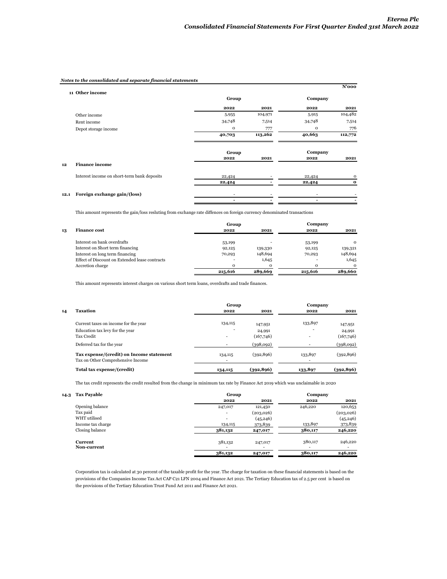# *Notes to the consolidated and separate financial statements*

|      | 11 Other income                             |              |         |             | N'ooo                    |
|------|---------------------------------------------|--------------|---------|-------------|--------------------------|
|      |                                             | Group        |         | Company     |                          |
|      |                                             | 2022         | 2021    | 2022        | 2021                     |
|      | Other income                                | 5,955        | 104,971 | 5,915       | 104,482                  |
|      | Rent income                                 | 34,748       | 7,514   | 34,748      | 7,514                    |
|      | Depot storage income                        | $\mathbf{O}$ | 777     | $\mathbf 0$ | 776                      |
|      |                                             | 40,703       | 113,262 | 40,663      | 112,772                  |
|      |                                             | Group        |         | Company     |                          |
|      |                                             | 2022         | 2021    | 2022        | 2021                     |
| 12   | <b>Finance income</b>                       |              |         |             |                          |
|      | Interest income on short-term bank deposits | 22,424       |         | 22,424      | $\mathbf 0$              |
|      |                                             | 22,424       |         | 22,424      | $\bf o$                  |
| 12.1 | Foreign exchange gain/(loss)                | ٠            |         | ٠           |                          |
|      |                                             | -            |         | ٠           | $\overline{\phantom{0}}$ |

This amount represents the gain/loss resluting from exchange rate diffences on foreign currency denominated transactions

|    |                                                | Group    |              | Company                  |          |
|----|------------------------------------------------|----------|--------------|--------------------------|----------|
| 13 | <b>Finance cost</b>                            | 2022     | 2021         | 2022                     | 2021     |
|    | Interest on bank overdrafts                    | 53,199   |              | 53,199                   | $\Omega$ |
|    | Interest on Short term financing               | 92,125   | 139,330      | 92,125                   | 139,321  |
|    | Interest on long term financing                | 70,293   | 148,694      | 70,293                   | 148,694  |
|    | Effect of Discount on Extended lease contracts |          | 1,645        | $\overline{\phantom{a}}$ | 1,645    |
|    | Accretion charge                               | $\Omega$ | $\mathbf{o}$ | $\Omega$                 | $\Omega$ |
|    |                                                | 215,616  | 289,669      | 215,616                  | 289,660  |

This amount represents interest charges on various short term loans, overdrafts and trade finances.

|    |                                                                               | Group                               |                     | Company |                     |  |
|----|-------------------------------------------------------------------------------|-------------------------------------|---------------------|---------|---------------------|--|
| 14 | Taxation                                                                      | 2022                                | 2021                | 2022    | 2021                |  |
|    | Current taxes on income for the year                                          | 134,115                             | 147,951             | 133,897 | 147,951             |  |
|    | Education tax levy for the year<br>Tax Credit                                 | ۰<br>$\overline{\phantom{a}}$       | 24,991<br>(167,746) | ۰<br>۰  | 24,991<br>(167,746) |  |
|    | Deferred tax for the year                                                     | -                                   | (398,092)           | ۰       | (398,092)           |  |
|    | Tax expense/(credit) on Income statement<br>Tax on Other Comprehensive Income | 134,115<br>$\overline{\phantom{a}}$ | (392, 896)          | 133,897 | (392, 896)          |  |
|    | Total tax expense/(credit)                                                    | 134,115                             | (392, 896)          | 133,897 | (392, 896)          |  |

The tax credit represents the credit resulted from the change in minimum tax rate by Finance Act 2019 which was unclaimable in 2020

| 14.3 | <b>Tax Payable</b> | Group          |           | Company |           |
|------|--------------------|----------------|-----------|---------|-----------|
|      |                    | 2022           | 2021      | 2022    | 2021      |
|      | Opening balance    | 247,017        | 121,450   | 246,220 | 120,653   |
|      | Tax paid           | $\overline{a}$ | (203,026) |         | (203,026) |
|      | WHT utilised       | $\overline{a}$ | (45, 246) |         | (45, 246) |
|      | Income tax charge  | 134,115        | 373,839   | 133,897 | 373,839   |
|      | Closing balance    | 381,132        | 247,017   | 380,117 | 246,220   |
|      | <b>Current</b>     | 381,132        | 247,017   | 380,117 | 246,220   |
|      | Non-current        | -              | ۰         | ۰       | $\sim$    |
|      |                    | 381,132        | 247,017   | 380,117 | 246,220   |

Corporation tax is calculated at 30 percent of the taxable profit for the year. The charge for taxation on these financial statements is based on the provisions of the Companies Income Tax Act CAP C21 LFN 2004 and Finance Act 2021. The Tertiary Education tax of 2.5 per cent is based on the provisions of the Tertiary Education Trust Fund Act 2011 and Finance Act 2021.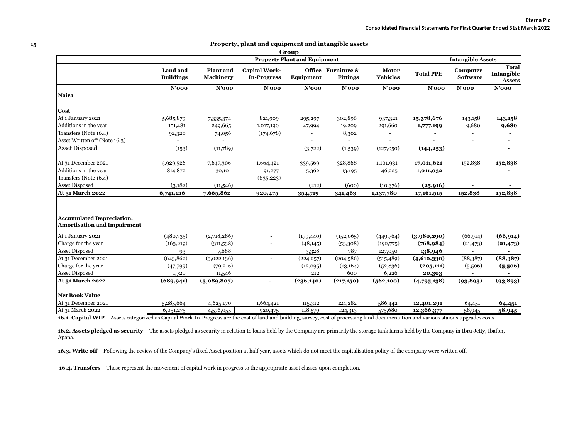|                                                                        |                              |                        |                                            | Group                               |                                       |                                 |                  |                             |                                             |
|------------------------------------------------------------------------|------------------------------|------------------------|--------------------------------------------|-------------------------------------|---------------------------------------|---------------------------------|------------------|-----------------------------|---------------------------------------------|
|                                                                        |                              |                        |                                            | <b>Property Plant and Equipment</b> |                                       |                                 |                  | <b>Intangible Assets</b>    |                                             |
|                                                                        | Land and<br><b>Buildings</b> | Plant and<br>Machinery | <b>Capital Work-</b><br><b>In-Progress</b> | Equipment                           | Office Furniture &<br><b>Fittings</b> | <b>Motor</b><br><b>Vehicles</b> | <b>Total PPE</b> | Computer<br><b>Software</b> | <b>Total</b><br>Intangible<br><b>Assets</b> |
|                                                                        | $N'$ 000                     | $N'$ 000               | $N'$ 000                                   | $N'$ 000                            | $N'$ 000                              | $N'$ 000                        | $N'$ 000         | $N'$ 000                    | $N'$ 000                                    |
| Naira                                                                  |                              |                        |                                            |                                     |                                       |                                 |                  |                             |                                             |
| Cost                                                                   |                              |                        |                                            |                                     |                                       |                                 |                  |                             |                                             |
| At 1 January 2021                                                      | 5,685,879                    | 7,335,374              | 821,909                                    | 295,297                             | 302,896                               | 937,321                         | 15,378,676       | 143,158                     | 143,158                                     |
| Additions in the year                                                  | 151,481                      | 249,665                | 1,017,190                                  | 47,994                              | 19,209                                | 291,660                         | 1,777,199        | 9,680                       | 9,680                                       |
| Transfers (Note 16.4)                                                  | 92,320                       | 74,056                 | (174, 678)                                 |                                     | 8,302                                 |                                 |                  |                             |                                             |
| Asset Written off (Note 16.3)                                          |                              |                        |                                            |                                     |                                       |                                 |                  |                             |                                             |
| <b>Asset Disposed</b>                                                  | (153)                        | (11,789)               |                                            | (3,722)                             | (1,539)                               | (127,050)                       | (144, 253)       |                             |                                             |
| At 31 December 2021                                                    | 5,929,526                    | 7,647,306              | 1,664,421                                  | 339,569                             | 328,868                               | 1,101,931                       | 17,011,621       | 152,838                     | 152,838                                     |
| Additions in the year                                                  | 814,872                      | 30,101                 | 91,277                                     | 15,362                              | 13,195                                | 46,225                          | 1,011,032        |                             |                                             |
| Transfers (Note 16.4)                                                  |                              |                        | (835, 223)                                 |                                     |                                       |                                 |                  |                             |                                             |
| Asset Disposed                                                         | (3,182)                      | (11,546)               |                                            | (212)                               | (600)                                 | (10,376)                        | (25, 916)        |                             |                                             |
| At 31 March 2022                                                       | 6,741,216                    | 7,665,862              | 920,475                                    | 354,719                             | 341,463                               | 1,137,780                       | 17, 161, 515     | 152,838                     | 152,838                                     |
| <b>Accumulated Depreciation,</b><br><b>Amortisation and Impairment</b> |                              |                        |                                            |                                     |                                       |                                 |                  |                             |                                             |
| At 1 January 2021                                                      | (480,735)                    | (2,718,286)            |                                            | (179, 440)                          | (152,065)                             | (449,764)                       | (3,980,290)      | (66, 914)                   | (66, 914)                                   |
| Charge for the year                                                    | (163, 219)                   | (311,538)              |                                            | (48, 145)                           | (53,308)                              | (192,775)                       | (768, 984)       | (21, 473)                   | (21, 473)                                   |
| <b>Asset Disposed</b>                                                  | 93                           | 7,688                  |                                            | 3,328                               | 787                                   | 127,050                         | 138,946          |                             |                                             |
| At 31 December 2021                                                    | (643, 862)                   | (3,022,136)            | $\sim$                                     | (224, 257)                          | (204, 586)                            | (515, 489)                      | (4,610,330)      | (88, 387)                   | (88, 387)                                   |
| Charge for the year                                                    | (47,799)                     | (79, 216)              |                                            | (12,095)                            | (13, 164)                             | (52,836)                        | (205, 111)       | (5,506)                     | (5,506)                                     |
| <b>Asset Disposed</b>                                                  | 1,720                        | 11,546                 |                                            | 212                                 | 600                                   | 6,226                           | 20,303           |                             |                                             |
| At 31 March 2022                                                       | (689, 941)                   | (3,089,807)            |                                            | (236, 140)                          | (217,150)                             | (562,100)                       | (4,795,138)      | (93, 893)                   | (93, 893)                                   |
| <b>Net Book Value</b>                                                  |                              |                        |                                            |                                     |                                       |                                 |                  |                             |                                             |
| At 31 December 2021                                                    | 5,285,664                    | 4,625,170              | 1,664,421                                  | 115,312                             | 124,282                               | 586,442                         | 12,401,291       | 64,451                      | 64,451                                      |
| At 31 March 2022                                                       | 6,051,275                    | 4,576,055              | 920,475                                    | 118,579                             | 124,313                               | 575,680                         | 12,366,377       | 58,945                      | 58,945                                      |

**16.1. Capital WIP** – Assets categorized as Capital Work-In-Progress are the cost of land and building, survey, cost of processing land documentation and various staions upgrades costs.

**16.2. Assets pledged as security –** The assets pledged as security in relation to loans held by the Company are primarily the storage tank farms held by the Company in Ibru Jetty, Ibafon, Apapa.

**16.3. Write off –** Following the review of the Company's fixed Asset position at half year, assets which do not meet the capitalisation policy of the company were written off.

**16.4. Transfers** – These represent the movement of capital work in progress to the appropriate asset classes upon completion.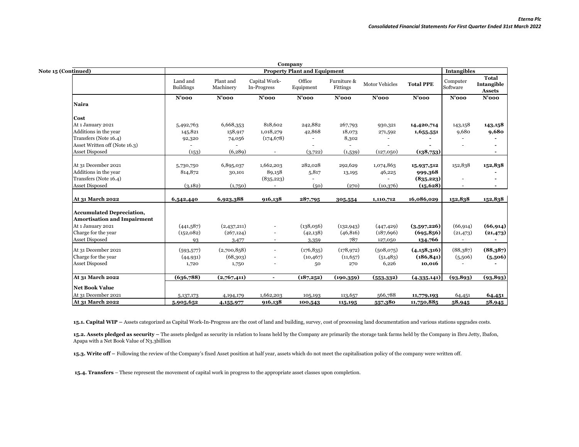|                                    |                              |                        |                              | Company                             |                         |                       |                  |                      |                                      |
|------------------------------------|------------------------------|------------------------|------------------------------|-------------------------------------|-------------------------|-----------------------|------------------|----------------------|--------------------------------------|
| Note 15 (Continued)                |                              |                        |                              | <b>Property Plant and Equipment</b> |                         |                       |                  | <b>Intangibles</b>   |                                      |
|                                    | Land and<br><b>Buildings</b> | Plant and<br>Machinery | Capital Work-<br>In-Progress | Office<br>Equipment                 | Furniture &<br>Fittings | <b>Motor Vehicles</b> | <b>Total PPE</b> | Computer<br>Software | Total<br>Intangible<br><b>Assets</b> |
| Naira                              | $N'$ 000                     | $N'$ 000               | $N'$ 000                     | $N'$ 000                            | $N'$ 000                | $N'$ 000              | $N'$ 000         | $N'$ 000             | $N'$ 000                             |
|                                    |                              |                        |                              |                                     |                         |                       |                  |                      |                                      |
| Cost                               |                              |                        |                              |                                     |                         |                       |                  |                      |                                      |
| At 1 January 2021                  | 5,492,763                    | 6,668,353              | 818,602                      | 242,882                             | 267,793                 | 930,321               | 14,420,714       | 143,158              | 143,158                              |
| Additions in the year              | 145,821                      | 158,917                | 1,018,279                    | 42,868                              | 18,073                  | 271,592               | 1,655,551        | 9,680                | 9,680                                |
| Transfers (Note 16.4)              | 92,320                       | 74,056                 | (174, 678)                   |                                     | 8,302                   |                       |                  |                      |                                      |
| Asset Written off (Note 16.3)      |                              |                        |                              |                                     |                         |                       |                  |                      | $\blacksquare$                       |
| <b>Asset Disposed</b>              | (153)                        | (6, 289)               | $\overline{\phantom{a}}$     | (3,722)                             | (1,539)                 | (127,050)             | (138,753)        |                      | $\blacksquare$                       |
| At 31 December 2021                | 5,730,750                    | 6,895,037              | 1,662,203                    | 282,028                             | 292,629                 | 1,074,863             | 15,937,512       | 152,838              | 152,838                              |
| Additions in the year              | 814,872                      | 30,101                 | 89,158                       | 5,817                               | 13,195                  | 46,225                | 999,368          |                      |                                      |
| Transfers (Note 16.4)              |                              |                        | (835, 223)                   |                                     |                         |                       | (835, 223)       |                      | $\overline{\phantom{a}}$             |
| <b>Asset Disposed</b>              | (3,182)                      | (1,750)                |                              | (50)                                | (270)                   | (10,376)              | (15, 628)        |                      | $\blacksquare$                       |
| At 31 March 2022                   | 6,542,440                    | 6,923,388              | 916,138                      | 287,795                             | 305,554                 | 1,110,712             | 16,086,029       | 152,838              | 152,838                              |
| <b>Accumulated Depreciation,</b>   |                              |                        |                              |                                     |                         |                       |                  |                      |                                      |
| <b>Amortisation and Impairment</b> |                              |                        |                              |                                     |                         |                       |                  |                      |                                      |
| At 1 January 2021                  | (441,587)                    | (2,437,211)            | $\overline{\phantom{a}}$     | (138,056)                           | (132, 943)              | (447, 429)            | (3,597,226)      | (66, 914)            | (66, 914)                            |
| Charge for the year                | (152,082)                    | (267, 124)             | $\overline{\phantom{a}}$     | (42,138)                            | (46, 816)               | (187, 696)            | (695, 856)       | (21, 473)            | (21, 473)                            |
| <b>Asset Disposed</b>              | 93                           | 3,477                  | $\overline{\phantom{a}}$     | 3,359                               | 787                     | 127,050               | 134,766          |                      |                                      |
| At 31 December 2021                | (593, 577)                   | (2,700,858)            | $\overline{a}$               | (176, 835)                          | (178, 972)              | (508,075)             | (4,158,316)      | (88, 387)            | (88, 387)                            |
| Charge for the year                | (44, 931)                    | (68, 303)              | $\overline{\phantom{a}}$     | (10, 467)                           | (11, 657)               | (51, 483)             | (186, 841)       | (5,506)              | (5,506)                              |
| <b>Asset Disposed</b>              | 1,720                        | 1,750                  |                              | 50                                  | 270                     | 6,226                 | 10,016           |                      |                                      |
| At 31 March 2022                   | (636,788)                    | (2,767,411)            | $\sim$                       | (187,252)                           | (190, 359)              | (553, 332)            | (4,335,141)      | (93, 893)            | (93, 893)                            |
| <b>Net Book Value</b>              |                              |                        |                              |                                     |                         |                       |                  |                      |                                      |
| At 31 December 2021                |                              |                        | 1,662,203                    |                                     |                         | 566,788               |                  |                      |                                      |
|                                    | 5, 137, 173                  | 4,194,179              |                              | 105,193                             | 113,657                 |                       | 11,779,193       | 64,451               | 64,451                               |
| At 31 March 2022                   | 5,905,652                    | 4,155,977              | 916,138                      | 100,543                             | 115,195                 | 557,380               | 11,750,885       | 58,945               | 58,945                               |

15.1. Capital WIP - Assets categorized as Capital Work-In-Progress are the cost of land and building, survey, cost of processing land documentation and various stations upgrades costs.

15.2. Assets pledged as security – The assets pledged as security in relation to loans held by the Company are primarily the storage tank farms held by the Company in Ibru Jetty, Ibafon, Apapa with a Net Book Value of N3.3billion

**15.3. Write off –** Following the review of the Company's fixed Asset position at half year, assets which do not meet the capitalisation policy of the company were written off.

**15.4. Transfers** – These represent the movement of capital work in progress to the appropriate asset classes upon completion.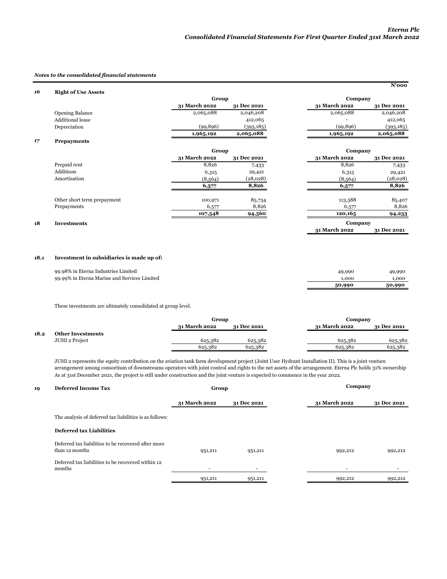**31 March 2022 31 Dec 2021**

#### *Notes to the consolidated financial statements*

| 16 | <b>Right of Use Assets</b> |               |             |               | $N'$ 000    |  |
|----|----------------------------|---------------|-------------|---------------|-------------|--|
|    |                            | Group         |             | Company       |             |  |
|    |                            | 31 March 2022 | 31 Dec 2021 | 31 March 2022 | 31 Dec 2021 |  |
|    | <b>Opening Balance</b>     | 2,065,088     | 2,046,208   | 2,065,088     | 2,046,208   |  |
|    | <b>Additional lease</b>    |               | 412,065     | -             | 412,065     |  |
|    | Depreciation               | (99, 896)     | (393, 185)  | (99, 896)     | (393, 185)  |  |
|    |                            | 1,965,192     | 2,065,088   | 1,965,192     | 2,065,088   |  |
| 17 | <b>Prepayments</b>         |               |             |               |             |  |

|                             | Group         |             | Company       |             |  |
|-----------------------------|---------------|-------------|---------------|-------------|--|
|                             | 31 March 2022 | 31 Dec 2021 | 31 March 2022 | 31 Dec 2021 |  |
| Prepaid rent                | 8,826         | 7,433       | 8,826         | 7,433       |  |
| Additions                   | 6,315         | 29,421      | 6,315         | 29,421      |  |
| Amortisation                | (8, 564)      | (28,028)    | (8, 564)      | (28,028)    |  |
|                             | 6,577         | 8,826       | 6,577         | 8,826       |  |
| Other short term prepayment | 100,971       | 85,734      | 113,588       | 85,407      |  |
| Prepayments                 | 6,577         | 8,826       | 6,577         | 8,826       |  |
|                             | 107,548       | 94,560      | 120,165       | 94,233      |  |
| <b>Investments</b>          |               |             | Company       |             |  |

# **18 Investments**

# **18.1 Investment in subsidiaries is made up of:**

|                                              | 50,990 | 50,990 |
|----------------------------------------------|--------|--------|
| 99.99% in Eterna Marine and Services Limited | .ooc   | L.000  |
| 99.98% in Eterna Industries Limited          | 49,99C | 49,990 |
|                                              |        |        |

These investments are ultimately consolidated at group level.

|      |                          | Group         |             |               | Company     |  |  |
|------|--------------------------|---------------|-------------|---------------|-------------|--|--|
|      |                          | 31 March 2022 | 31 Dec 2021 | 31 March 2022 | 31 Dec 2021 |  |  |
| 18.2 | <b>Other Investments</b> |               |             |               |             |  |  |
|      | JUHI 2 Project           | 625,382       | 625,382     | 625,382       | 625,382     |  |  |
|      |                          | 625,382       | 625,382     | 625,382       | 625,382     |  |  |

As at 31st December 2021, the project is still under construction and the joint venture is expected to commence in the year 2022. JUHI 2 represents the equity contribution on the aviation tank farm development project (Joint User Hydrant Installation II). This is a joint venture arrangement among consortium of downstreams operators with joint control and rights to the net assets of the arrangement. Eterna Plc holds 31% ownership

# **19 Deferred Income Tax 31 March 2022 31 Dec 2021 31 March 2022 31 Dec 2021** The analysis of deferred tax liabilities is as follows: **Deferred tax Liabilities** 951,211 951,211 992,212 992,212 - - - - 951,211 951,211 992,212 992,212  **Company**  Deferred tax liabilities to be recovered after more than 12 months Deferred tax liabilities to be recovered within 12 months **Group**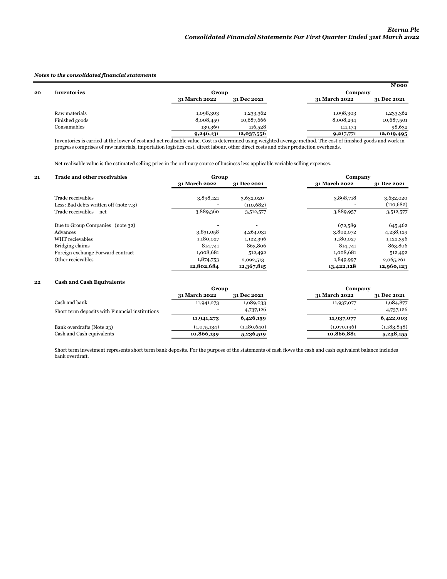#### *Notes to the consolidated financial statements*

|    |                                                                                                                                                                |               |             |               | $N'$ 000    |  |
|----|----------------------------------------------------------------------------------------------------------------------------------------------------------------|---------------|-------------|---------------|-------------|--|
| 20 | <b>Inventories</b>                                                                                                                                             |               | Group       |               | Company     |  |
|    |                                                                                                                                                                | 31 March 2022 | 31 Dec 2021 | 31 March 2022 | 31 Dec 2021 |  |
|    |                                                                                                                                                                |               |             |               |             |  |
|    | Raw materials                                                                                                                                                  | 1,098,303     | 1,233,362   | 1,098,303     | 1,233,362   |  |
|    | Finished goods                                                                                                                                                 | 8,008,459     | 10,687,666  | 8,008,294     | 10,687,501  |  |
|    | Consumables                                                                                                                                                    | 139,369       | 116,528     | 111,174       | 98,632      |  |
|    |                                                                                                                                                                | 9,246,131     | 12,037,556  | 9,217,771     | 12,019,495  |  |
|    | Inventories is certifiate the lower of east and not realisable value. Cost is determined using weighted everage method. The east of finished goods and work in |               |             |               |             |  |

Inventories is carried at the lower of cost and net realisable value. Cost is determined using weighted average method. The cost of finished goods and work in progress comprises of raw materials, importation logistics cost, direct labour, other direct costs and other production overheads.

Net realisable value is the estimated selling price in the ordinary course of business less applicable variable selling expenses.

| 21 | <b>Trade and other receivables</b>                          | Group         |                        | Company       |                         |  |
|----|-------------------------------------------------------------|---------------|------------------------|---------------|-------------------------|--|
|    |                                                             | 31 March 2022 | 31 Dec 2021            | 31 March 2022 | 31 Dec 2021             |  |
|    | Trade receivables<br>Less: Bad debts written off (note 7.3) | 3,898,121     | 3,632,020<br>(110,682) | 3,898,718     | 3,632,020<br>(110, 682) |  |
|    | Trade receivables - net                                     | 3,889,360     | 3,512,577              | 3,889,957     | 3,512,577               |  |
|    | Due to Group Companies (note 32)                            |               |                        | 672,589       | 645,462                 |  |
|    | Advances                                                    | 3,831,058     | 4,264,031              | 3,802,072     | 4,238,129               |  |
|    | WHT recievables                                             | 1,180,027     | 1,122,396              | 1,180,027     | 1,122,396               |  |
|    | Bridging claims                                             | 814,741       | 863,806                | 814,741       | 863,806                 |  |
|    | Foreign exchange Forward contract                           | 1,008,681     | 512,492                | 1,008,681     | 512,492                 |  |
|    | Other recievables                                           | 1,874,753     | 2,092,513              | 1,849,997     | 2,065,261               |  |
|    |                                                             | 12,802,684    | 12,367,815             | 13,422,128    | 12,960,123              |  |

# **22 Cash and Cash Equivalents**

|                                                 | Group                |             | Company       |             |
|-------------------------------------------------|----------------------|-------------|---------------|-------------|
|                                                 | <b>31 March 2022</b> | 31 Dec 2021 | 31 March 2022 | 31 Dec 2021 |
| Cash and bank                                   | 11,941,273           | 1,689,033   | 11,937,077    | 1,684,877   |
| Short term deposits with Financial institutions |                      | 4,737,126   |               | 4,737,126   |
|                                                 | 11,941,273           | 6,426,159   | 11,937,077    | 6,422,003   |
| Bank overdrafts (Note 23)                       | (1,075,134)          | (1,189,640) | (1,070,196)   | (1,183,848) |
| Cash and Cash equivalents                       | 10,866,139           | 5,236,519   | 10,866,881    | 5,238,155   |

Short term investment represents short term bank deposits. For the purpose of the statements of cash flows the cash and cash equivalent balance includes bank overdraft.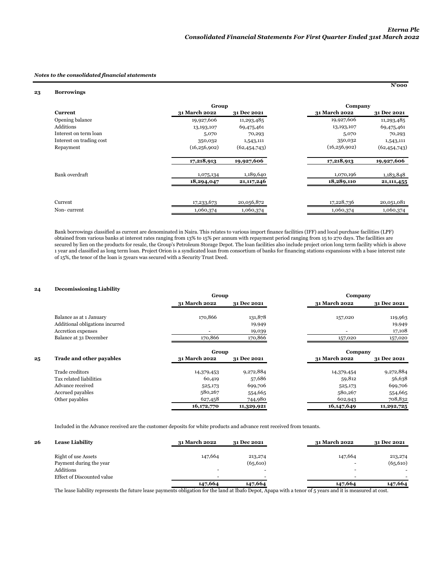**N'000** 

#### *Notes to the consolidated financial statements*

#### **23 Borrowings**

|                          | Group          |                |                | Company        |
|--------------------------|----------------|----------------|----------------|----------------|
| <b>Current</b>           | 31 March 2022  | 31 Dec 2021    | 31 March 2022  | 31 Dec 2021    |
| Opening balance          | 19,927,606     | 11,293,485     | 19,927,606     | 11,293,485     |
| Additions                | 13,193,107     | 69,475,461     | 13,193,107     | 69,475,461     |
| Interest on term loan    | 5,070          | 70,293         | 5,070          | 70,293         |
| Interest on trading cost | 350,032        | 1,543,111      | 350,032        | 1,543,111      |
| Repayment                | (16, 256, 902) | (62, 454, 743) | (16, 256, 902) | (62, 454, 743) |
|                          | 17,218,913     | 19,927,606     | 17,218,913     | 19,927,606     |
| Bank overdraft           | 1,075,134      | 1,189,640      | 1,070,196      | 1,183,848      |
|                          | 18,294,047     | 21, 117, 246   | 18,289,110     | 21, 111, 455   |
|                          |                |                |                |                |
| Current                  | 17,233,673     | 20,056,872     | 17,228,736     | 20,051,081     |
| Non-current              | 1,060,374      | 1,060,374      | 1,060,374      | 1,060,374      |

Bank borrowings classified as current are denominated in Naira. This relates to various import finance facilities (IFF) and local purchase facilities (LPF) obtained from various banks at interest rates ranging from 13% to 15% per annum with repayment period ranging from 15 to 270 days. The facilities are secured by lien on the products for resale, the Group's Petroleum Storage Depot. The loan facilities also include project orion long term facility which is above 1 year and classified as long term loan. Project Orion is a syndicated loan from consortium of banks for financing stations expansions with a base interest rate of 15%, the tenor of the loan is 5years was secured with a Security Trust Deed.

# **24 Decomissioning Liability**

|    |                                 | Group         |             | Company       |             |
|----|---------------------------------|---------------|-------------|---------------|-------------|
|    |                                 | 31 March 2022 | 31 Dec 2021 | 31 March 2022 | 31 Dec 2021 |
|    | Balance as at 1 January         | 170,866       | 131,878     | 157,020       | 119,963     |
|    | Additional obligations incurred |               | 19,949      |               | 19,949      |
|    | Accretion expenses              |               | 19,039      |               | 17,108      |
|    | Balance at 31 December          | 170,866       | 170,866     | 157,020       | 157,020     |
|    |                                 | Group         |             | Company       |             |
| 25 | <b>Trade and other payables</b> | 31 March 2022 | 31 Dec 2021 | 31 March 2022 | 31 Dec 2021 |
|    | Trade creditors                 | 14,379,453    | 9,272,884   | 14,379,454    | 9,272,884   |
|    | Tax related liabilities         | 60,419        | 57,686      | 59,812        | 56,638      |
|    | Advance received                | 525,173       | 699,706     | 525,173       | 699,706     |
|    | Accrued payables                | 580,267       | 554,665     | 580,267       | 554,665     |
|    | Other payables                  | 627,458       | 744,980     | 602,943       | 708,832     |
|    |                                 | 16,172,770    | 11,329,921  | 16, 147, 649  | 11,292,725  |

Included in the Advance received are the customer deposits for white products and advance rent received from tenants.

| 26 | <b>Lease Liability</b>     | 31 March 2022 | 31 Dec 2021 | 31 March 2022 | 31 Dec 2021 |
|----|----------------------------|---------------|-------------|---------------|-------------|
|    | Right of use Assets        | 147,664       | 213,274     | 147,664       | 213,274     |
|    | Payment during the year    |               | (65, 610)   |               | (65, 610)   |
|    | Additions                  |               |             |               |             |
|    | Effect of Discounted value | -             |             |               |             |
|    |                            | 147,664       | 147,664     | 147,664       | 147,664     |

The lease liability represents the future lease payments obligation for the land at Ibafo Depot, Apapa with a tenor of 5 years and it is measured at cost.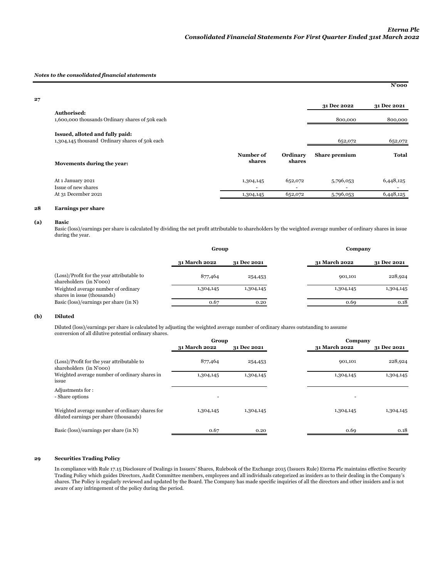#### *Notes to the consolidated financial statements*

|    |                                                                                   |                     |                                     |                | $N'$ 000       |
|----|-----------------------------------------------------------------------------------|---------------------|-------------------------------------|----------------|----------------|
| 27 |                                                                                   |                     |                                     | 31 Dec 2022    | 31 Dec 2021    |
|    | Authorised:                                                                       |                     |                                     |                |                |
|    | 1,600,000 thousands Ordinary shares of 50k each                                   |                     |                                     | 800,000        | 800,000        |
|    | Issued, alloted and fully paid:<br>1,304,145 thousand Ordinary shares of 50k each |                     |                                     | 652,072        | 652,072        |
|    | Movements during the year:                                                        | Number of<br>shares | Ordinary<br>shares                  | Share premium  | Total          |
|    | At 1 January 2021<br>Issue of new shares                                          | 1,304,145<br>٠      | 652,072<br>$\overline{\phantom{a}}$ | 5,796,053<br>۰ | 6,448,125<br>- |
|    | At 31 December 2021                                                               | 1,304,145           | 652,072                             | 5,796,053      | 6,448,125      |

# **28 Earnings per share**

#### **(a) Basic**

Ē,

Basic (loss)/earnings per share is calculated by dividing the net profit attributable to shareholders by the weighted average number of ordinary shares in issue during the year.

|                                                                       | Group         |             |               | Company     |  |  |
|-----------------------------------------------------------------------|---------------|-------------|---------------|-------------|--|--|
|                                                                       | 31 March 2022 | 31 Dec 2021 | 31 March 2022 | 31 Dec 2021 |  |  |
| (Loss)/Profit for the year attributable to<br>shareholders (in N'000) | 877,464       | 254,453     | 901,101       | 228,924     |  |  |
| Weighted average number of ordinary<br>shares in issue (thousands)    | 1,304,145     | 1,304,145   | 1,304,145     | 1,304,145   |  |  |
| Basic (loss)/earnings per share (in N)                                | 0.67          | 0.20        | 0.69          | 0.18        |  |  |

### **(b) Diluted**

Diluted (loss)/earnings per share is calculated by adjusting the weighted average number of ordinary shares outstanding to assume conversion of all dilutive potential ordinary shares.

|                                                                                          | Group         |             | Company       |             |
|------------------------------------------------------------------------------------------|---------------|-------------|---------------|-------------|
|                                                                                          | 31 March 2022 | 31 Dec 2021 | 31 March 2022 | 31 Dec 2021 |
| (Loss)/Profit for the year attributable to<br>shareholders (in N'000)                    | 877,464       | 254,453     | 901,101       | 228,924     |
| Weighted average number of ordinary shares in<br>issue                                   | 1,304,145     | 1,304,145   | 1,304,145     | 1,304,145   |
| Adjustments for:<br>- Share options                                                      | ٠             |             |               |             |
| Weighted average number of ordinary shares for<br>diluted earnings per share (thousands) | 1,304,145     | 1,304,145   | 1,304,145     | 1,304,145   |
| Basic (loss)/earnings per share (in N)                                                   | 0.67          | 0.20        | 0.69          | 0.18        |

# **29 Securities Trading Policy**

In compliance with Rule 17.15 Disclosure of Dealings in Issuers' Shares, Rulebook of the Exchange 2015 (Issuers Rule) Eterna Plc maintains effective Security Trading Policy which guides Directors, Audit Committee members, employees and all individuals categorized as insiders as to their dealing in the Company's shares. The Policy is regularly reviewed and updated by the Board. The Company has made specific inquiries of all the directors and other insiders and is not aware of any infringement of the policy during the period.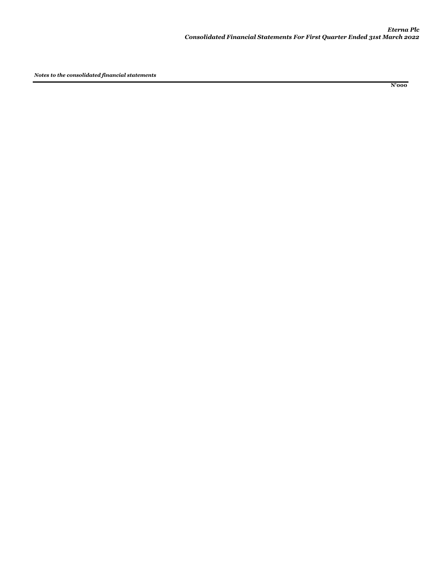**N'000**